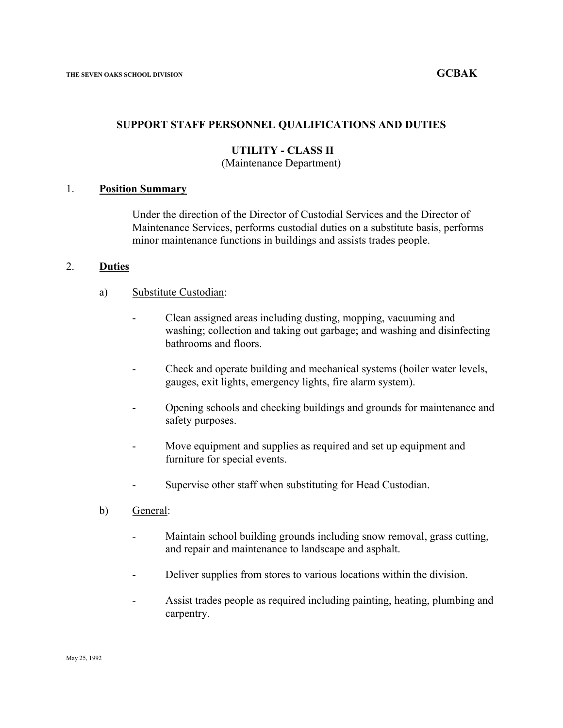## **SUPPORT STAFF PERSONNEL QUALIFICATIONS AND DUTIES**

# **UTILITY - CLASS II**

## (Maintenance Department)

# 1. **Position Summary**

Under the direction of the Director of Custodial Services and the Director of Maintenance Services, performs custodial duties on a substitute basis, performs minor maintenance functions in buildings and assists trades people.

### 2. **Duties**

#### a) Substitute Custodian:

- Clean assigned areas including dusting, mopping, vacuuming and washing; collection and taking out garbage; and washing and disinfecting bathrooms and floors.
- Check and operate building and mechanical systems (boiler water levels, gauges, exit lights, emergency lights, fire alarm system).
- Opening schools and checking buildings and grounds for maintenance and safety purposes.
- Move equipment and supplies as required and set up equipment and furniture for special events.
- Supervise other staff when substituting for Head Custodian.
- b) General:
	- Maintain school building grounds including snow removal, grass cutting, and repair and maintenance to landscape and asphalt.
	- Deliver supplies from stores to various locations within the division.
	- Assist trades people as required including painting, heating, plumbing and carpentry.